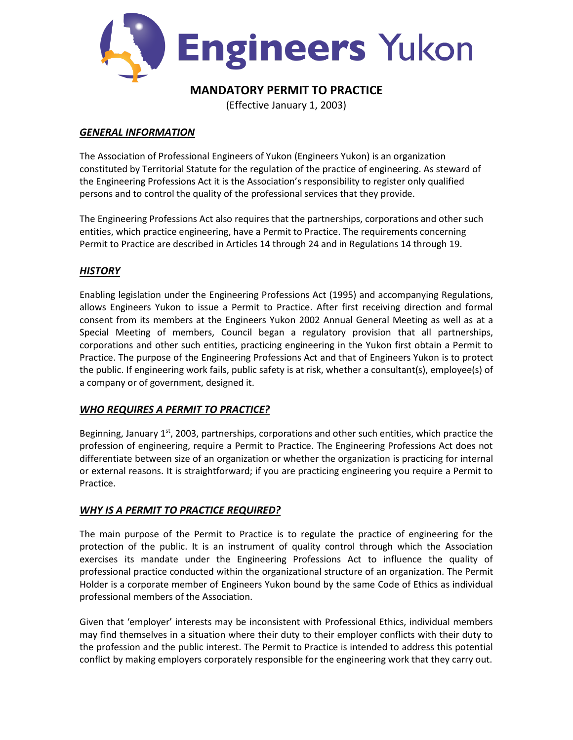

# **MANDATORY PERMIT TO PRACTICE**

(Effective January 1, 2003)

### *GENERAL INFORMATION*

The Association of Professional Engineers of Yukon (Engineers Yukon) is an organization constituted by Territorial Statute for the regulation of the practice of engineering. As steward of the Engineering Professions Act it is the Association's responsibility to register only qualified persons and to control the quality of the professional services that they provide.

The Engineering Professions Act also requires that the partnerships, corporations and other such entities, which practice engineering, have a Permit to Practice. The requirements concerning Permit to Practice are described in Articles 14 through 24 and in Regulations 14 through 19.

# *HISTORY*

Enabling legislation under the Engineering Professions Act (1995) and accompanying Regulations, allows Engineers Yukon to issue a Permit to Practice. After first receiving direction and formal consent from its members at the Engineers Yukon 2002 Annual General Meeting as well as at a Special Meeting of members, Council began a regulatory provision that all partnerships, corporations and other such entities, practicing engineering in the Yukon first obtain a Permit to Practice. The purpose of the Engineering Professions Act and that of Engineers Yukon is to protect the public. If engineering work fails, public safety is at risk, whether a consultant(s), employee(s) of a company or of government, designed it.

# *WHO REQUIRES A PERMIT TO PRACTICE?*

Beginning, January  $1<sup>st</sup>$ , 2003, partnerships, corporations and other such entities, which practice the profession of engineering, require a Permit to Practice. The Engineering Professions Act does not differentiate between size of an organization or whether the organization is practicing for internal or external reasons. It is straightforward; if you are practicing engineering you require a Permit to Practice.

# *WHY IS A PERMIT TO PRACTICE REQUIRED?*

The main purpose of the Permit to Practice is to regulate the practice of engineering for the protection of the public. It is an instrument of quality control through which the Association exercises its mandate under the Engineering Professions Act to influence the quality of professional practice conducted within the organizational structure of an organization. The Permit Holder is a corporate member of Engineers Yukon bound by the same Code of Ethics as individual professional members of the Association.

Given that 'employer' interests may be inconsistent with Professional Ethics, individual members may find themselves in a situation where their duty to their employer conflicts with their duty to the profession and the public interest. The Permit to Practice is intended to address this potential conflict by making employers corporately responsible for the engineering work that they carry out.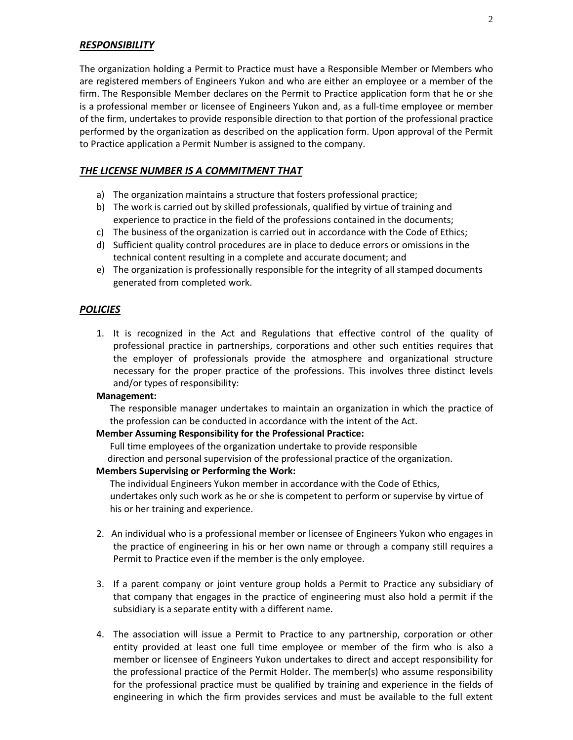#### *RESPONSIBILITY*

The organization holding a Permit to Practice must have a Responsible Member or Members who are registered members of Engineers Yukon and who are either an employee or a member of the firm. The Responsible Member declares on the Permit to Practice application form that he or she is a professional member or licensee of Engineers Yukon and, as a full-time employee or member of the firm, undertakes to provide responsible direction to that portion of the professional practice performed by the organization as described on the application form. Upon approval of the Permit to Practice application a Permit Number is assigned to the company.

### *THE LICENSE NUMBER IS A COMMITMENT THAT*

- a) The organization maintains a structure that fosters professional practice;
- b) The work is carried out by skilled professionals, qualified by virtue of training and experience to practice in the field of the professions contained in the documents;
- c) The business of the organization is carried out in accordance with the Code of Ethics;
- d) Sufficient quality control procedures are in place to deduce errors or omissions in the technical content resulting in a complete and accurate document; and
- e) The organization is professionally responsible for the integrity of all stamped documents generated from completed work.

#### *POLICIES*

1. It is recognized in the Act and Regulations that effective control of the quality of professional practice in partnerships, corporations and other such entities requires that the employer of professionals provide the atmosphere and organizational structure necessary for the proper practice of the professions. This involves three distinct levels and/or types of responsibility:

#### **Management:**

The responsible manager undertakes to maintain an organization in which the practice of the profession can be conducted in accordance with the intent of the Act.

#### **Member Assuming Responsibility for the Professional Practice:**

 Full time employees of the organization undertake to provide responsible direction and personal supervision of the professional practice of the organization.

#### **Members Supervising or Performing the Work:**

 The individual Engineers Yukon member in accordance with the Code of Ethics, undertakes only such work as he or she is competent to perform or supervise by virtue of his or her training and experience.

- 2. An individual who is a professional member or licensee of Engineers Yukon who engages in the practice of engineering in his or her own name or through a company still requires a Permit to Practice even if the member is the only employee.
- 3. If a parent company or joint venture group holds a Permit to Practice any subsidiary of that company that engages in the practice of engineering must also hold a permit if the subsidiary is a separate entity with a different name.
- 4. The association will issue a Permit to Practice to any partnership, corporation or other entity provided at least one full time employee or member of the firm who is also a member or licensee of Engineers Yukon undertakes to direct and accept responsibility for the professional practice of the Permit Holder. The member(s) who assume responsibility for the professional practice must be qualified by training and experience in the fields of engineering in which the firm provides services and must be available to the full extent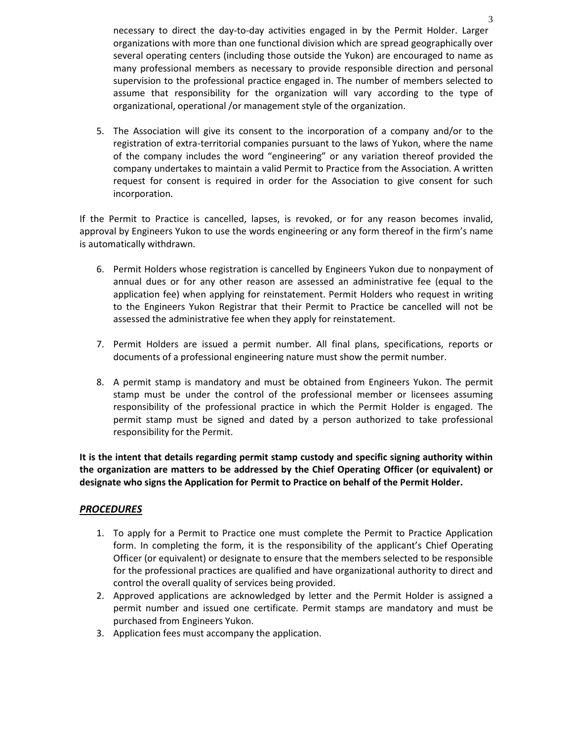necessary to direct the day-to-day activities engaged in by the Permit Holder. Larger organizations with more than one functional division which are spread geographically over several operating centers (including those outside the Yukon) are encouraged to name as many professional members as necessary to provide responsible direction and personal supervision to the professional practice engaged in. The number of members selected to assume that responsibility for the organization will vary according to the type of organizational, operational /or management style of the organization.

5. The Association will give its consent to the incorporation of a company and/or to the registration of extra-territorial companies pursuant to the laws of Yukon, where the name of the company includes the word "engineering" or any variation thereof provided the company undertakes to maintain a valid Permit to Practice from the Association. A written request for consent is required in order for the Association to give consent for such incorporation.

If the Permit to Practice is cancelled, lapses, is revoked, or for any reason becomes invalid, approval by Engineers Yukon to use the words engineering or any form thereof in the firm's name is automatically withdrawn.

- 6. Permit Holders whose registration is cancelled by Engineers Yukon due to nonpayment of annual dues or for any other reason are assessed an administrative fee (equal to the application fee) when applying for reinstatement. Permit Holders who request in writing to the Engineers Yukon Registrar that their Permit to Practice be cancelled will not be assessed the administrative fee when they apply for reinstatement.
- 7. Permit Holders are issued a permit number. All final plans, specifications, reports or documents of a professional engineering nature must show the permit number.
- 8. A permit stamp is mandatory and must be obtained from Engineers Yukon. The permit stamp must be under the control of the professional member or licensees assuming responsibility of the professional practice in which the Permit Holder is engaged. The permit stamp must be signed and dated by a person authorized to take professional responsibility for the Permit.

**It is the intent that details regarding permit stamp custody and specific signing authority within the organization are matters to be addressed by the Chief Operating Officer (or equivalent) or designate who signs the Application for Permit to Practice on behalf of the Permit Holder.**

### *PROCEDURES*

- 1. To apply for a Permit to Practice one must complete the Permit to Practice Application form. In completing the form, it is the responsibility of the applicant's Chief Operating Officer (or equivalent) or designate to ensure that the members selected to be responsible for the professional practices are qualified and have organizational authority to direct and control the overall quality of services being provided.
- 2. Approved applications are acknowledged by letter and the Permit Holder is assigned a permit number and issued one certificate. Permit stamps are mandatory and must be purchased from Engineers Yukon.
- 3. Application fees must accompany the application.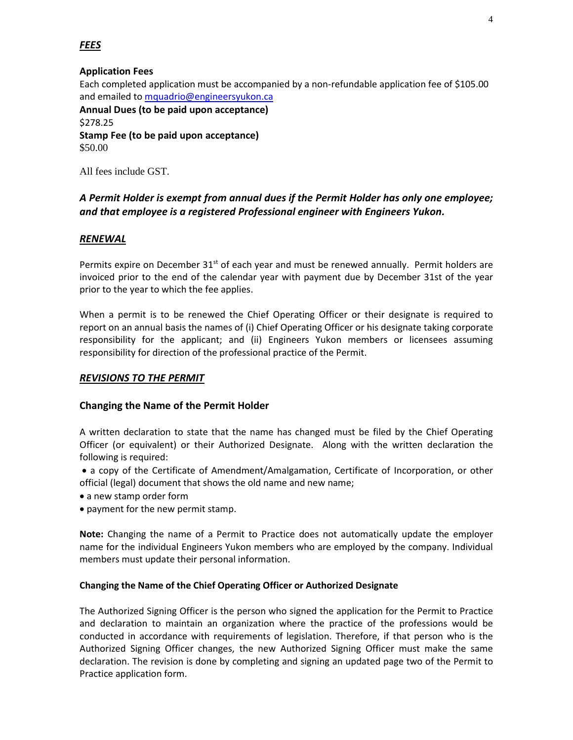# **Application Fees**

Each completed application must be accompanied by a non-refundable application fee of \$105.00 and emailed t[o mquadrio@engineersyukon.ca](mailto:mquadrio@engineersyukon.ca) **Annual Dues (to be paid upon acceptance)** 

\$278.25 **Stamp Fee (to be paid upon acceptance)**  \$50.00

All fees include GST.

# *A Permit Holder is exempt from annual dues if the Permit Holder has only one employee; and that employee is a registered Professional engineer with Engineers Yukon.*

### *RENEWAL*

Permits expire on December  $31<sup>st</sup>$  of each year and must be renewed annually. Permit holders are invoiced prior to the end of the calendar year with payment due by December 31st of the year prior to the year to which the fee applies.

When a permit is to be renewed the Chief Operating Officer or their designate is required to report on an annual basis the names of (i) Chief Operating Officer or his designate taking corporate responsibility for the applicant; and (ii) Engineers Yukon members or licensees assuming responsibility for direction of the professional practice of the Permit.

### *REVISIONS TO THE PERMIT*

### **Changing the Name of the Permit Holder**

A written declaration to state that the name has changed must be filed by the Chief Operating Officer (or equivalent) or their Authorized Designate. Along with the written declaration the following is required:

• a copy of the Certificate of Amendment/Amalgamation, Certificate of Incorporation, or other official (legal) document that shows the old name and new name;

- a new stamp order form
- payment for the new permit stamp.

**Note:** Changing the name of a Permit to Practice does not automatically update the employer name for the individual Engineers Yukon members who are employed by the company. Individual members must update their personal information.

### **Changing the Name of the Chief Operating Officer or Authorized Designate**

The Authorized Signing Officer is the person who signed the application for the Permit to Practice and declaration to maintain an organization where the practice of the professions would be conducted in accordance with requirements of legislation. Therefore, if that person who is the Authorized Signing Officer changes, the new Authorized Signing Officer must make the same declaration. The revision is done by completing and signing an updated page two of the Permit to Practice application form.

# *FEES*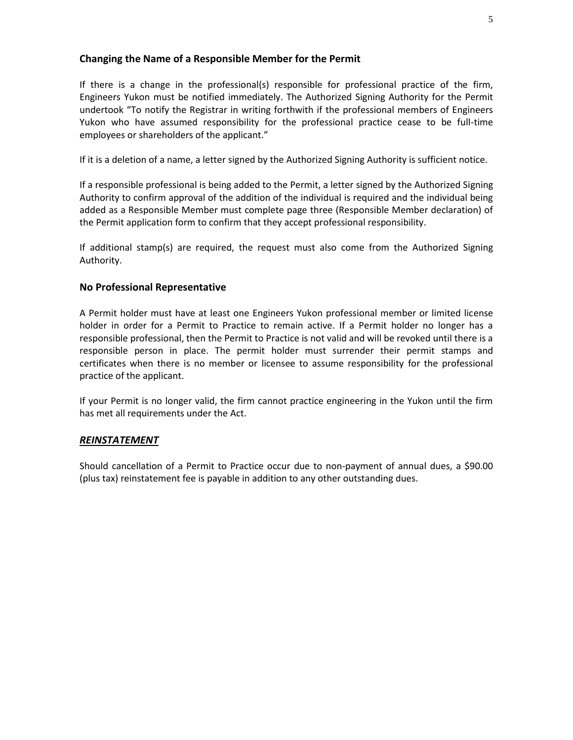### **Changing the Name of a Responsible Member for the Permit**

If there is a change in the professional(s) responsible for professional practice of the firm, Engineers Yukon must be notified immediately. The Authorized Signing Authority for the Permit undertook "To notify the Registrar in writing forthwith if the professional members of Engineers Yukon who have assumed responsibility for the professional practice cease to be full‐time employees or shareholders of the applicant."

If it is a deletion of a name, a letter signed by the Authorized Signing Authority is sufficient notice.

If a responsible professional is being added to the Permit, a letter signed by the Authorized Signing Authority to confirm approval of the addition of the individual is required and the individual being added as a Responsible Member must complete page three (Responsible Member declaration) of the Permit application form to confirm that they accept professional responsibility.

If additional stamp(s) are required, the request must also come from the Authorized Signing Authority.

### **No Professional Representative**

A Permit holder must have at least one Engineers Yukon professional member or limited license holder in order for a Permit to Practice to remain active. If a Permit holder no longer has a responsible professional, then the Permit to Practice is not valid and will be revoked until there is a responsible person in place. The permit holder must surrender their permit stamps and certificates when there is no member or licensee to assume responsibility for the professional practice of the applicant.

If your Permit is no longer valid, the firm cannot practice engineering in the Yukon until the firm has met all requirements under the Act.

### *REINSTATEMENT*

Should cancellation of a Permit to Practice occur due to non-payment of annual dues, a \$90.00 (plus tax) reinstatement fee is payable in addition to any other outstanding dues.